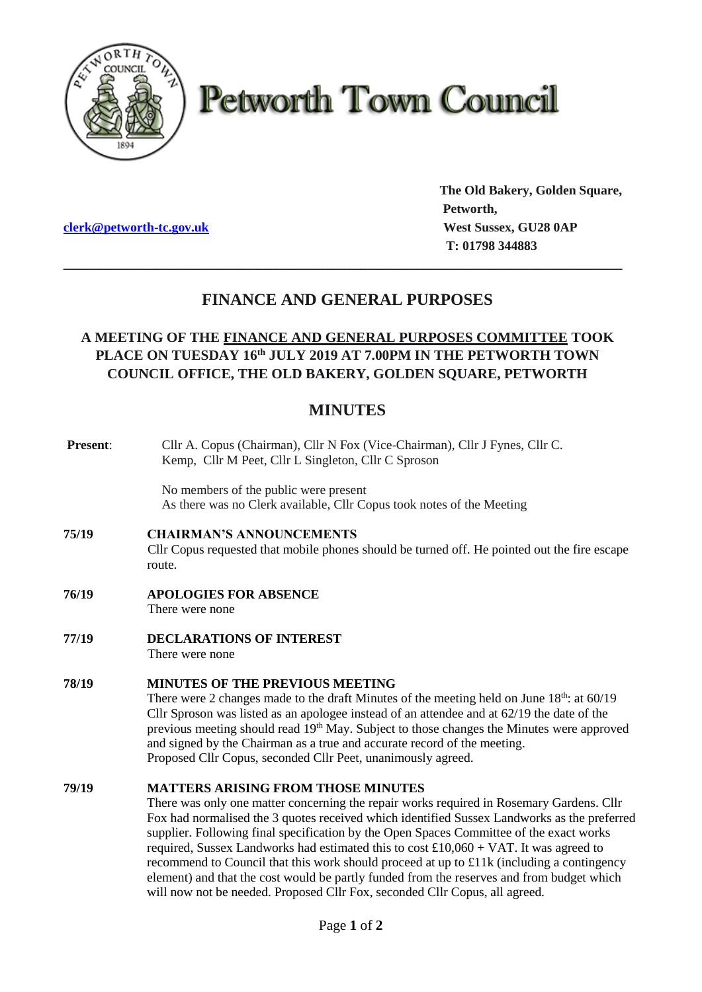

# **Petworth Town Council**

**The Old Bakery, Golden Square, Petworth, clerk@petworth-tc.gov.uk** *West Sussex, GU28 0AP*  **T: 01798 344883**

## **FINANCE AND GENERAL PURPOSES**

**\_\_\_\_\_\_\_\_\_\_\_\_\_\_\_\_\_\_\_\_\_\_\_\_\_\_\_\_\_\_\_\_\_\_\_\_\_\_\_\_\_\_\_\_\_\_\_\_\_\_\_\_\_\_\_\_\_\_\_\_\_\_\_\_\_\_\_\_\_\_\_\_\_\_\_\_\_\_\_**

## **A MEETING OF THE FINANCE AND GENERAL PURPOSES COMMITTEE TOOK PLACE ON TUESDAY 16th JULY 2019 AT 7.00PM IN THE PETWORTH TOWN COUNCIL OFFICE, THE OLD BAKERY, GOLDEN SQUARE, PETWORTH**

## **MINUTES**

| Present: | Cllr A. Copus (Chairman), Cllr N Fox (Vice-Chairman), Cllr J Fynes, Cllr C.<br>Kemp, Cllr M Peet, Cllr L Singleton, Cllr C Sproson                                                                                                                                                                                                                                                                                                                                                                                                                                                                                                                                                                   |
|----------|------------------------------------------------------------------------------------------------------------------------------------------------------------------------------------------------------------------------------------------------------------------------------------------------------------------------------------------------------------------------------------------------------------------------------------------------------------------------------------------------------------------------------------------------------------------------------------------------------------------------------------------------------------------------------------------------------|
|          | No members of the public were present<br>As there was no Clerk available, Cllr Copus took notes of the Meeting                                                                                                                                                                                                                                                                                                                                                                                                                                                                                                                                                                                       |
| 75/19    | <b>CHAIRMAN'S ANNOUNCEMENTS</b><br>Cllr Copus requested that mobile phones should be turned off. He pointed out the fire escape<br>route.                                                                                                                                                                                                                                                                                                                                                                                                                                                                                                                                                            |
| 76/19    | <b>APOLOGIES FOR ABSENCE</b><br>There were none                                                                                                                                                                                                                                                                                                                                                                                                                                                                                                                                                                                                                                                      |
| 77/19    | <b>DECLARATIONS OF INTEREST</b><br>There were none                                                                                                                                                                                                                                                                                                                                                                                                                                                                                                                                                                                                                                                   |
| 78/19    | <b>MINUTES OF THE PREVIOUS MEETING</b><br>There were 2 changes made to the draft Minutes of the meeting held on June $18th$ : at $60/19$<br>Cllr Sproson was listed as an apologee instead of an attendee and at 62/19 the date of the<br>previous meeting should read 19 <sup>th</sup> May. Subject to those changes the Minutes were approved<br>and signed by the Chairman as a true and accurate record of the meeting.<br>Proposed Cllr Copus, seconded Cllr Peet, unanimously agreed.                                                                                                                                                                                                          |
| 79/19    | <b>MATTERS ARISING FROM THOSE MINUTES</b><br>There was only one matter concerning the repair works required in Rosemary Gardens. Cllr<br>Fox had normalised the 3 quotes received which identified Sussex Landworks as the preferred<br>supplier. Following final specification by the Open Spaces Committee of the exact works<br>required, Sussex Landworks had estimated this to cost $£10,060 + VAT$ . It was agreed to<br>recommend to Council that this work should proceed at up to £11k (including a contingency<br>element) and that the cost would be partly funded from the reserves and from budget which<br>will now not be needed. Proposed Cllr Fox, seconded Cllr Copus, all agreed. |
|          |                                                                                                                                                                                                                                                                                                                                                                                                                                                                                                                                                                                                                                                                                                      |